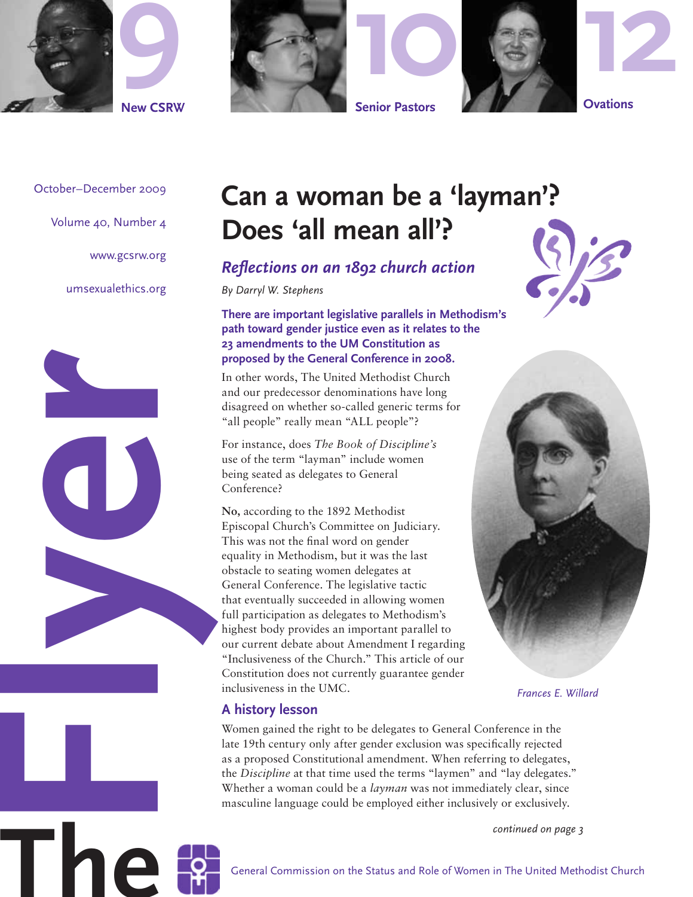





October–December 2009

Volume 40, Number 4

www.gcsrw.org

umsexualethics.org



## **Can a woman be a 'layman'? Does 'all mean all'?**

*Reflections on an 1892 church action*

*By Darryl W. Stephens*

**There are important legislative parallels in Methodism's path toward gender justice even as it relates to the 23 amendments to the UM Constitution as proposed by the General Conference in 2008.**

In other words, The United Methodist Church and our predecessor denominations have long disagreed on whether so-called generic terms for "all people" really mean "ALL people"?

For instance, does *The Book of Discipline's* use of the term "layman" include women being seated as delegates to General Conference?

**No,** according to the 1892 Methodist Episcopal Church's Committee on Judiciary. This was not the final word on gender equality in Methodism, but it was the last obstacle to seating women delegates at General Conference. The legislative tactic that eventually succeeded in allowing women full participation as delegates to Methodism's highest body provides an important parallel to our current debate about Amendment I regarding "Inclusiveness of the Church." This article of our Constitution does not currently guarantee gender inclusiveness in the UMC.





*Frances E. Willard*

## **A history lesson**

Women gained the right to be delegates to General Conference in the late 19th century only after gender exclusion was specifically rejected as a proposed Constitutional amendment. When referring to delegates, the *Discipline* at that time used the terms "laymen" and "lay delegates." Whether a woman could be a *layman* was not immediately clear, since masculine language could be employed either inclusively or exclusively.

*continued on page 3*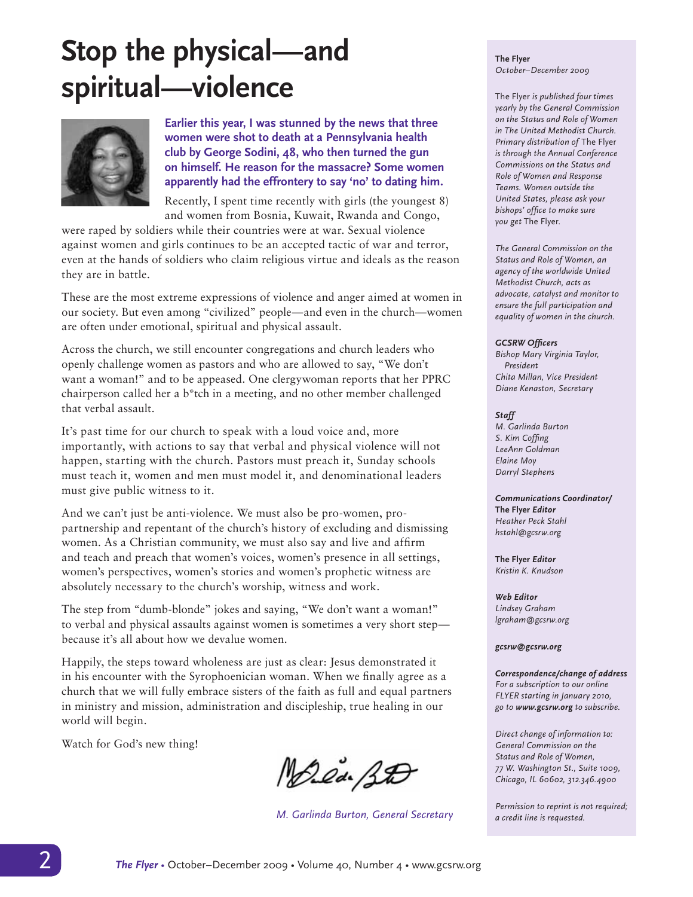## **Stop the physical—and spiritual—violence**



**Earlier this year, I was stunned by the news that three women were shot to death at a Pennsylvania health club by George Sodini, 48, who then turned the gun on himself. He reason for the massacre? Some women apparently had the effrontery to say 'no' to dating him.** 

Recently, I spent time recently with girls (the youngest 8) and women from Bosnia, Kuwait, Rwanda and Congo,

were raped by soldiers while their countries were at war. Sexual violence against women and girls continues to be an accepted tactic of war and terror, even at the hands of soldiers who claim religious virtue and ideals as the reason they are in battle.

These are the most extreme expressions of violence and anger aimed at women in our society. But even among "civilized" people—and even in the church—women are often under emotional, spiritual and physical assault.

Across the church, we still encounter congregations and church leaders who openly challenge women as pastors and who are allowed to say, "We don't want a woman!" and to be appeased. One clergywoman reports that her PPRC chairperson called her a b\*tch in a meeting, and no other member challenged that verbal assault.

It's past time for our church to speak with a loud voice and, more importantly, with actions to say that verbal and physical violence will not happen, starting with the church. Pastors must preach it, Sunday schools must teach it, women and men must model it, and denominational leaders must give public witness to it.

And we can't just be anti-violence. We must also be pro-women, propartnership and repentant of the church's history of excluding and dismissing women. As a Christian community, we must also say and live and affirm and teach and preach that women's voices, women's presence in all settings, women's perspectives, women's stories and women's prophetic witness are absolutely necessary to the church's worship, witness and work.

The step from "dumb-blonde" jokes and saying, "We don't want a woman!" to verbal and physical assaults against women is sometimes a very short step because it's all about how we devalue women.

Happily, the steps toward wholeness are just as clear: Jesus demonstrated it in his encounter with the Syrophoenician woman. When we finally agree as a church that we will fully embrace sisters of the faith as full and equal partners in ministry and mission, administration and discipleship, true healing in our world will begin.

Watch for God's new thing!

Marca BD

*M. Garlinda Burton, General Secretary*

**The Flyer** *October–December 2009*

The Flyer *is published four times yearly by the General Commission on the Status and Role of Women in The United Methodist Church. Primary distribution of* The Flyer *is through the Annual Conference Commissions on the Status and Role of Women and Response Teams. Women outside the United States, please ask your bishops' office to make sure you get* The Flyer.

*The General Commission on the Status and Role of Women, an agency of the worldwide United Methodist Church, acts as advocate, catalyst and monitor to ensure the full participation and equality of women in the church.*

#### *GCSRW Officers*

*Bishop Mary Virginia Taylor, President Chita Millan, Vice President Diane Kenaston, Secretary*

#### *Staff*

*M. Garlinda Burton S. Kim Coffing LeeAnn Goldman Elaine Moy Darryl Stephens*

#### *Communications Coordinator/*

**The Flyer** *Editor Heather Peck Stahl hstahl@gcsrw.org*

**The Flyer** *Editor Kristin K. Knudson*

*Web Editor Lindsey Graham lgraham@gcsrw.org*

#### *gcsrw@gcsrw.org*

*Correspondence/change of address For a subscription to our online FLYER starting in January 2010, go to www.gcsrw.org to subscribe.*

*Direct change of information to: General Commission on the Status and Role of Women, 77 W. Washington St., Suite 1009, Chicago, IL 60602, 312.346.4900*

*Permission to reprint is not required; a credit line is requested.*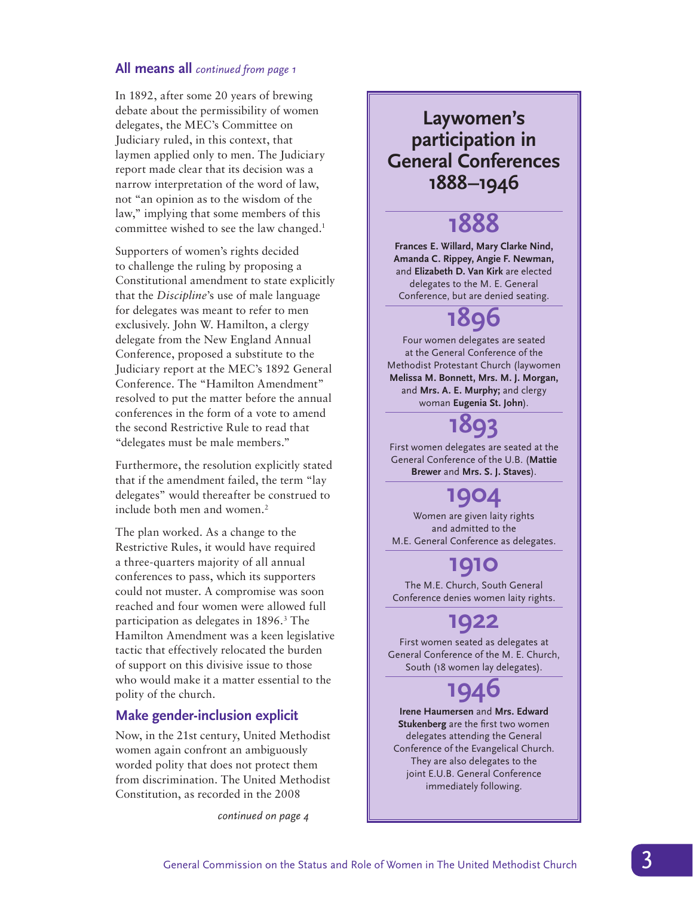## **All means all** *continued from page 1*

In 1892, after some 20 years of brewing debate about the permissibility of women delegates, the MEC's Committee on Judiciary ruled, in this context, that laymen applied only to men. The Judiciary report made clear that its decision was a narrow interpretation of the word of law, not "an opinion as to the wisdom of the law," implying that some members of this committee wished to see the law changed.<sup>1</sup>

Supporters of women's rights decided to challenge the ruling by proposing a Constitutional amendment to state explicitly that the *Discipline*'s use of male language for delegates was meant to refer to men exclusively. John W. Hamilton, a clergy delegate from the New England Annual Conference, proposed a substitute to the Judiciary report at the MEC's 1892 General Conference. The "Hamilton Amendment" resolved to put the matter before the annual conferences in the form of a vote to amend the second Restrictive Rule to read that "delegates must be male members."

Furthermore, the resolution explicitly stated that if the amendment failed, the term "lay delegates" would thereafter be construed to include both men and women.<sup>2</sup>

The plan worked. As a change to the Restrictive Rules, it would have required a three-quarters majority of all annual conferences to pass, which its supporters could not muster. A compromise was soon reached and four women were allowed full participation as delegates in 1896.<sup>3</sup> The Hamilton Amendment was a keen legislative tactic that effectively relocated the burden of support on this divisive issue to those who would make it a matter essential to the polity of the church.

## **Make gender-inclusion explicit**

Now, in the 21st century, United Methodist women again confront an ambiguously worded polity that does not protect them from discrimination. The United Methodist Constitution, as recorded in the 2008

*continued on page 4*

## **Laywomen's participation in General Conferences 1888–1946**

## **1888**

**Frances E. Willard, Mary Clarke Nind, Amanda C. Rippey, Angie F. Newman,**  and **Elizabeth D. Van Kirk** are elected delegates to the M. E. General Conference, but are denied seating.

## **1896**

Four women delegates are seated at the General Conference of the Methodist Protestant Church (laywomen **Melissa M. Bonnett, Mrs. M. J. Morgan,** and **Mrs. A. E. Murphy;** and clergy woman **Eugenia St. John**).

**1893**

First women delegates are seated at the General Conference of the U.B. (**Mattie Brewer** and **Mrs. S. J. Staves**).

## **1904**

Women are given laity rights and admitted to the M.E. General Conference as delegates.

## **1910**

The M.E. Church, South General Conference denies women laity rights.

## **1922**

First women seated as delegates at General Conference of the M. E. Church, South (18 women lay delegates).

## **1946**

**Irene Haumersen** and **Mrs. Edward Stukenberg** are the first two women delegates attending the General Conference of the Evangelical Church. They are also delegates to the joint E.U.B. General Conference immediately following.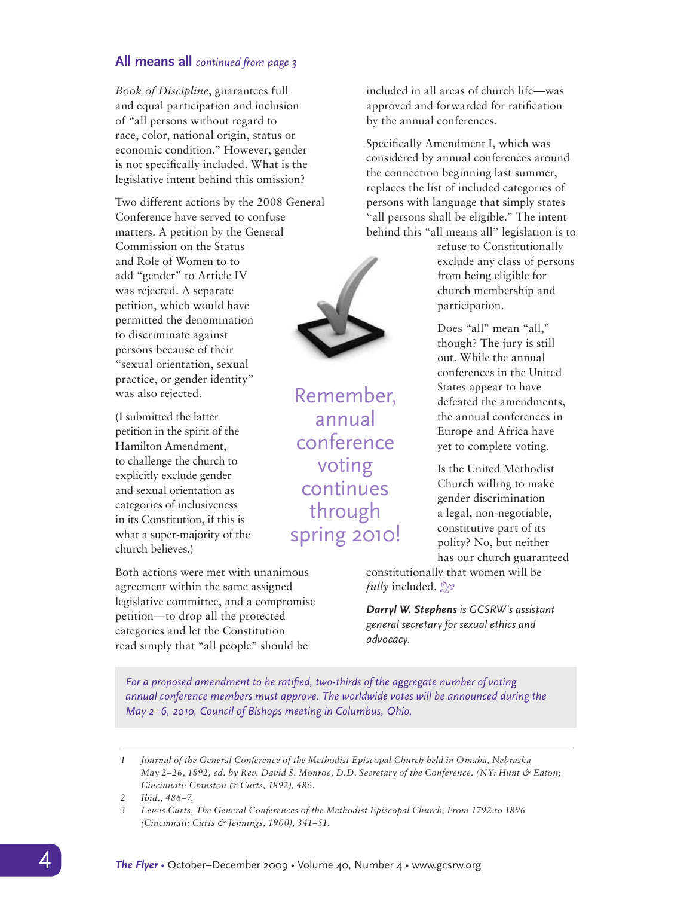## **All means all** *continued from page 3*

*Book of Discipline*, guarantees full and equal participation and inclusion of "all persons without regard to race, color, national origin, status or economic condition." However, gender is not specifically included. What is the legislative intent behind this omission?

Two different actions by the 2008 General Conference have served to confuse matters. A petition by the General Commission on the Status and Role of Women to to add "gender" to Article IV was rejected. A separate petition, which would have permitted the denomination to discriminate against persons because of their "sexual orientation, sexual practice, or gender identity" was also rejected. Remember,

(I submitted the latter petition in the spirit of the Hamilton Amendment, to challenge the church to explicitly exclude gender and sexual orientation as categories of inclusiveness in its Constitution, if this is what a super-majority of the church believes.)

Both actions were met with unanimous agreement within the same assigned legislative committee, and a compromise petition—to drop all the protected categories and let the Constitution read simply that "all people" should be

included in all areas of church life—was approved and forwarded for ratification by the annual conferences.

Specifically Amendment I, which was considered by annual conferences around the connection beginning last summer, replaces the list of included categories of persons with language that simply states "all persons shall be eligible." The intent behind this "all means all" legislation is to

> refuse to Constitutionally exclude any class of persons from being eligible for church membership and participation.

Does "all" mean "all," though? The jury is still out. While the annual conferences in the United States appear to have defeated the amendments, the annual conferences in Europe and Africa have yet to complete voting.

Is the United Methodist Church willing to make gender discrimination a legal, non-negotiable, constitutive part of its polity? No, but neither has our church guaranteed

constitutionally that women will be *fully* included.

*Darryl W. Stephens is GCSRW's assistant general secretary for sexual ethics and advocacy.*

*For a proposed amendment to be ratified, two-thirds of the aggregate number of voting annual conference members must approve. The worldwide votes will be announced during the May 2–6, 2010, Council of Bishops meeting in Columbus, Ohio.* 

*<sup>3</sup> Lewis Curts, The General Conferences of the Methodist Episcopal Church, From 1792 to 1896 (Cincinnati: Curts & Jennings, 1900), 341–51.*





annual conference

voting continues

through

spring 2010!

*<sup>1</sup> Journal of the General Conference of the Methodist Episcopal Church held in Omaha, Nebraska May 2-26, 1892, ed. by Rev. David S. Monroe, D.D. Secretary of the Conference. (NY: Hunt & Eaton; Cincinnati: Cranston & Curts, 1892), 486.*

*<sup>2</sup> Ibid., 486–7.*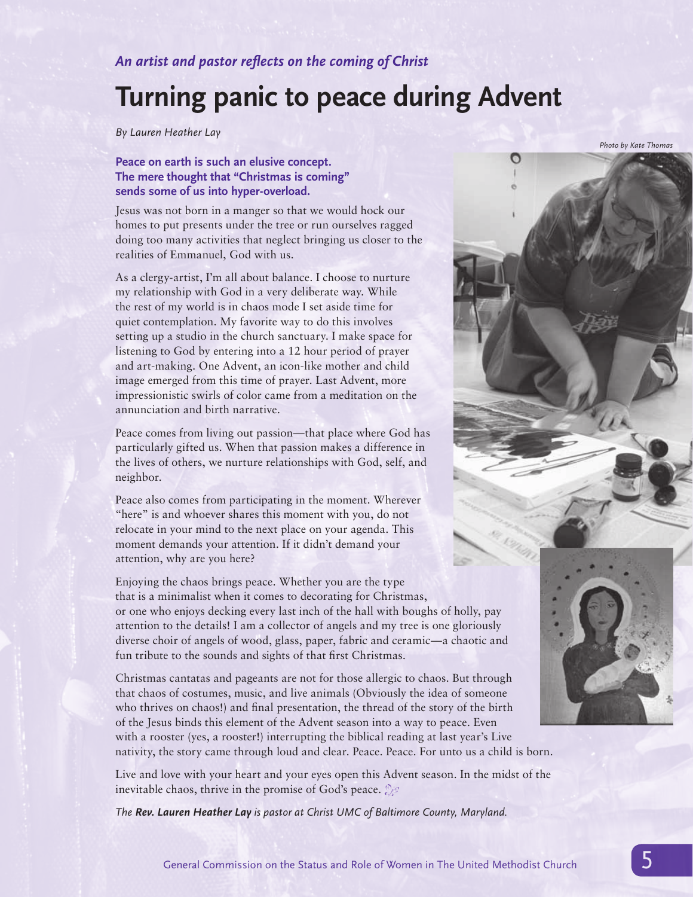*An artist and pastor reflects on the coming of Christ*

## **Turning panic to peace during Advent**

*By Lauren Heather Lay*

## **Peace on earth is such an elusive concept. The mere thought that "Christmas is coming" sends some of us into hyper-overload.**

Jesus was not born in a manger so that we would hock our homes to put presents under the tree or run ourselves ragged doing too many activities that neglect bringing us closer to the realities of Emmanuel, God with us.

As a clergy-artist, I'm all about balance. I choose to nurture my relationship with God in a very deliberate way. While the rest of my world is in chaos mode I set aside time for quiet contemplation. My favorite way to do this involves setting up a studio in the church sanctuary. I make space for listening to God by entering into a 12 hour period of prayer and art-making. One Advent, an icon-like mother and child image emerged from this time of prayer. Last Advent, more impressionistic swirls of color came from a meditation on the annunciation and birth narrative.

Peace comes from living out passion—that place where God has particularly gifted us. When that passion makes a difference in the lives of others, we nurture relationships with God, self, and neighbor.

Peace also comes from participating in the moment. Wherever "here" is and whoever shares this moment with you, do not relocate in your mind to the next place on your agenda. This moment demands your attention. If it didn't demand your attention, why are you here?

Enjoying the chaos brings peace. Whether you are the type that is a minimalist when it comes to decorating for Christmas, or one who enjoys decking every last inch of the hall with boughs of holly, pay attention to the details! I am a collector of angels and my tree is one gloriously diverse choir of angels of wood, glass, paper, fabric and ceramic—a chaotic and fun tribute to the sounds and sights of that first Christmas.

Christmas cantatas and pageants are not for those allergic to chaos. But through that chaos of costumes, music, and live animals (Obviously the idea of someone who thrives on chaos!) and final presentation, the thread of the story of the birth of the Jesus binds this element of the Advent season into a way to peace. Even with a rooster (yes, a rooster!) interrupting the biblical reading at last year's Live nativity, the story came through loud and clear. Peace. Peace. For unto us a child is born.

Live and love with your heart and your eyes open this Advent season. In the midst of the inevitable chaos, thrive in the promise of God's peace.  $\mathcal{Z}$ 

*The Rev. Lauren Heather Lay is pastor at Christ UMC of Baltimore County, Maryland.*

*Photo by Kate Thomas*



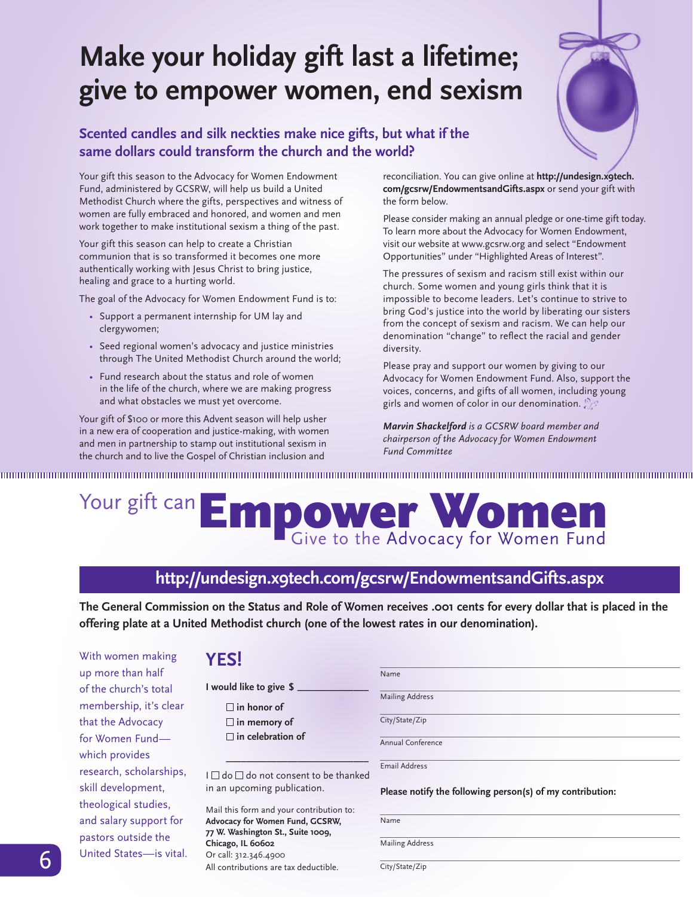## **Make your holiday gift last a lifetime; give to empower women, end sexism**

## **Scented candles and silk neckties make nice gifts, but what if the same dollars could transform the church and the world?**

Your gift this season to the Advocacy for Women Endowment Fund, administered by GCSRW, will help us build a United Methodist Church where the gifts, perspectives and witness of women are fully embraced and honored, and women and men work together to make institutional sexism a thing of the past.

Your gift this season can help to create a Christian communion that is so transformed it becomes one more authentically working with Jesus Christ to bring justice, healing and grace to a hurting world.

The goal of the Advocacy for Women Endowment Fund is to:

- Support a permanent internship for UM lay and clergywomen;
- Seed regional women's advocacy and justice ministries through The United Methodist Church around the world;
- Fund research about the status and role of women in the life of the church, where we are making progress and what obstacles we must yet overcome.

Your gift of \$100 or more this Advent season will help usher in a new era of cooperation and justice-making, with women and men in partnership to stamp out institutional sexism in the church and to live the Gospel of Christian inclusion and

reconciliation. You can give online at **http://undesign.x9tech. com/gcsrw/EndowmentsandGifts.aspx** or send your gift with the form below.

Please consider making an annual pledge or one-time gift today. To learn more about the Advocacy for Women Endowment, visit our website at www.gcsrw.org and select "Endowment Opportunities" under "Highlighted Areas of Interest".

The pressures of sexism and racism still exist within our church. Some women and young girls think that it is impossible to become leaders. Let's continue to strive to bring God's justice into the world by liberating our sisters from the concept of sexism and racism. We can help our denomination "change" to reflect the racial and gender diversity.

Please pray and support our women by giving to our Advocacy for Women Endowment Fund. Also, support the voices, concerns, and gifts of all women, including young girls and women of color in our denomination.

*Marvin Shackelford is a GCSRW board member and chairperson of the Advocacy for Women Endowment Fund Committee*

## Your gift can Empower Women

## **http://undesign.x9tech.com/gcsrw/EndowmentsandGifts.aspx**

**The General Commission on the Status and Role of Women receives .001 cents for every dollar that is placed in the offering plate at a United Methodist church (one of the lowest rates in our denomination).** 

With women making up more than half of the church's total membership, it's clear that the Advocacy for Women Fund which provides research, scholarships, skill development, theological studies, and salary support for pastors outside the United States—is vital.

## **YES!**

**I would like to give \$ \_\_\_\_\_\_\_\_\_\_\_\_\_\_ in honor of in memory of in celebration of \_\_\_\_\_\_\_\_\_\_\_\_\_\_\_\_\_\_\_\_\_\_\_\_\_\_\_\_**

I  $□$  do  $□$  do not consent to be thanked in an upcoming publication.

**6** *The Flyerrer Berlinger – Contributions are tax deductible.*<br>All contributions are tax deductible. City/State/Zip Mail this form and your contribution to: **Advocacy for Women Fund, GCSRW, 77 W. Washington St., Suite 1009, Chicago, IL 60602** Or call: 312.346.4900

| Name |                        |  |
|------|------------------------|--|
|      | <b>Mailing Address</b> |  |

City/State/Zip

Annual Conference

Email Address

#### **Please notify the following person(s) of my contribution:**

Name

Mailing Address

City/State/Zip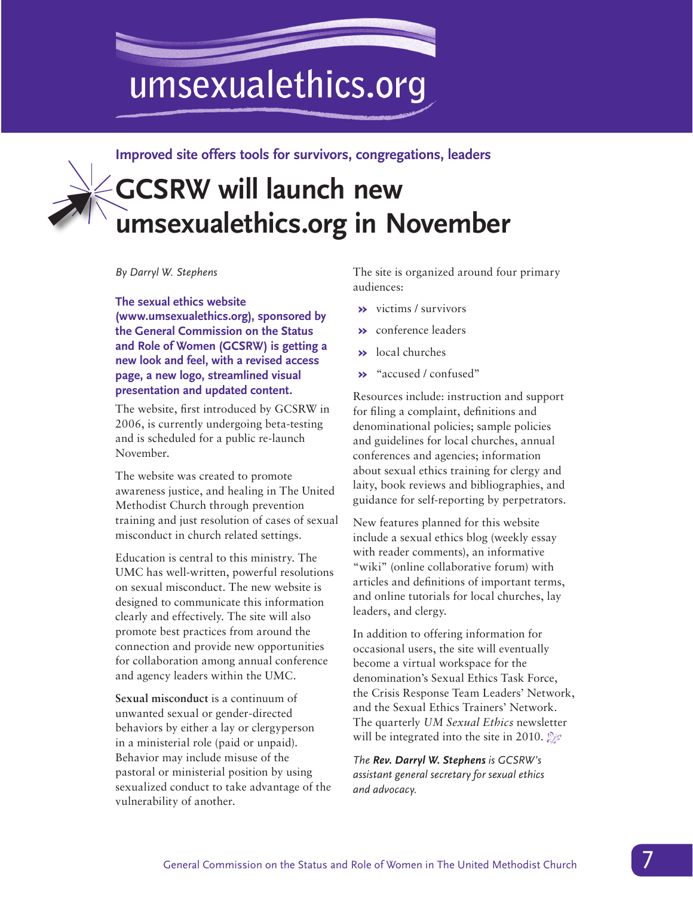## umsexualethics.org

**Improved site offers tools for survivors, congregations, leaders**

## **GCSRW will launch new umsexualethics.org in November** ➚

*By Darryl W. Stephens*

**The sexual ethics website (www.umsexualethics.org), sponsored by the General Commission on the Status and Role of Women (GCSRW) is getting a new look and feel, with a revised access page, a new logo, streamlined visual presentation and updated content.** 

The website, first introduced by GCSRW in 2006, is currently undergoing beta-testing and is scheduled for a public re-launch November.

The website was created to promote awareness justice, and healing in The United Methodist Church through prevention training and just resolution of cases of sexual misconduct in church related settings.

Education is central to this ministry. The UMC has well-written, powerful resolutions on sexual misconduct. The new website is designed to communicate this information clearly and effectively. The site will also promote best practices from around the connection and provide new opportunities for collaboration among annual conference and agency leaders within the UMC.

**Sexual misconduct** is a continuum of unwanted sexual or gender-directed behaviors by either a lay or clergyperson in a ministerial role (paid or unpaid). Behavior may include misuse of the pastoral or ministerial position by using sexualized conduct to take advantage of the vulnerability of another.

The site is organized around four primary audiences:

- **»** victims / survivors
- **»** conference leaders
- **»** local churches
- **»** "accused / confused"

Resources include: instruction and support for filing a complaint, definitions and denominational policies; sample policies and guidelines for local churches, annual conferences and agencies; information about sexual ethics training for clergy and laity, book reviews and bibliographies, and guidance for self-reporting by perpetrators.

New features planned for this website include a sexual ethics blog (weekly essay with reader comments), an informative "wiki" (online collaborative forum) with articles and definitions of important terms, and online tutorials for local churches, lay leaders, and clergy.

In addition to offering information for occasional users, the site will eventually become a virtual workspace for the denomination's Sexual Ethics Task Force, the Crisis Response Team Leaders' Network, and the Sexual Ethics Trainers' Network. The quarterly *UM Sexual Ethics* newsletter will be integrated into the site in 2010.  $\mathbb{Z}^2$ 

*The Rev. Darryl W. Stephens is GCSRW's assistant general secretary for sexual ethics and advocacy.*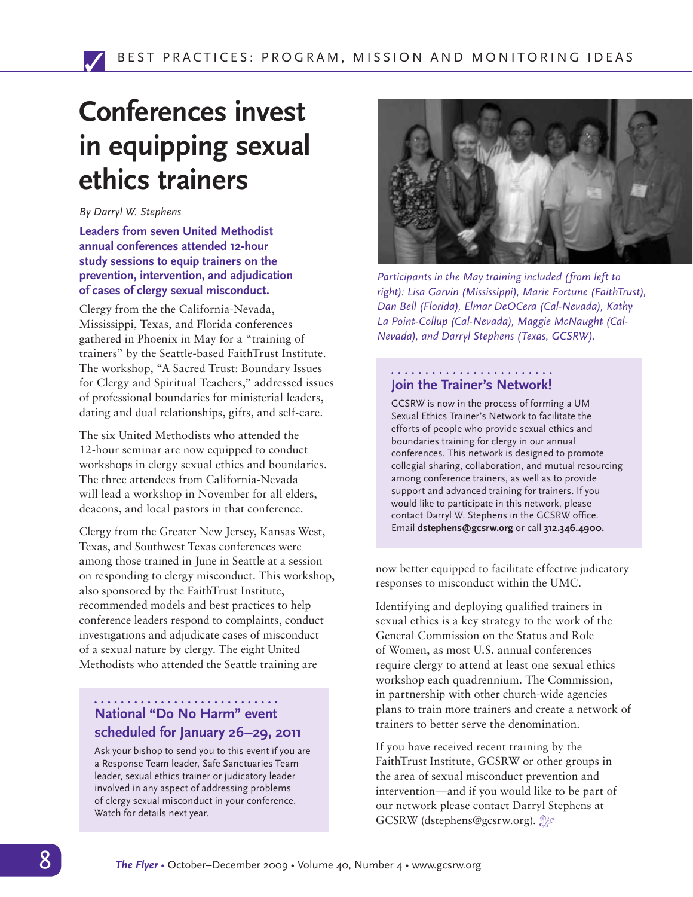## **Conferences invest in equipping sexual ethics trainers**

#### *By Darryl W. Stephens*

**Leaders from seven United Methodist annual conferences attended 12-hour study sessions to equip trainers on the prevention, intervention, and adjudication of cases of clergy sexual misconduct.** 

Clergy from the the California-Nevada, Mississippi, Texas, and Florida conferences gathered in Phoenix in May for a "training of trainers" by the Seattle-based FaithTrust Institute. The workshop, "A Sacred Trust: Boundary Issues for Clergy and Spiritual Teachers," addressed issues of professional boundaries for ministerial leaders, dating and dual relationships, gifts, and self-care.

The six United Methodists who attended the 12-hour seminar are now equipped to conduct workshops in clergy sexual ethics and boundaries. The three attendees from California-Nevada will lead a workshop in November for all elders, deacons, and local pastors in that conference.

Clergy from the Greater New Jersey, Kansas West, Texas, and Southwest Texas conferences were among those trained in June in Seattle at a session on responding to clergy misconduct. This workshop, also sponsored by the FaithTrust Institute, recommended models and best practices to help conference leaders respond to complaints, conduct investigations and adjudicate cases of misconduct of a sexual nature by clergy. The eight United Methodists who attended the Seattle training are

## **National "Do No Harm" event scheduled for January 26–29, 2011**

Ask your bishop to send you to this event if you are a Response Team leader, Safe Sanctuaries Team leader, sexual ethics trainer or judicatory leader involved in any aspect of addressing problems of clergy sexual misconduct in your conference. Watch for details next year.



*Participants in the May training included (from left to right): Lisa Garvin (Mississippi), Marie Fortune (FaithTrust), Dan Bell (Florida), Elmar DeOCera (Cal-Nevada), Kathy La Point-Collup (Cal-Nevada), Maggie McNaught (Cal-Nevada), and Darryl Stephens (Texas, GCSRW).*

#### **Join the Trainer's Network!**

GCSRW is now in the process of forming a UM Sexual Ethics Trainer's Network to facilitate the efforts of people who provide sexual ethics and boundaries training for clergy in our annual conferences. This network is designed to promote collegial sharing, collaboration, and mutual resourcing among conference trainers, as well as to provide support and advanced training for trainers. If you would like to participate in this network, please contact Darryl W. Stephens in the GCSRW office. Email **dstephens@gcsrw.org** or call **312.346.4900.**

now better equipped to facilitate effective judicatory responses to misconduct within the UMC.

Identifying and deploying qualified trainers in sexual ethics is a key strategy to the work of the General Commission on the Status and Role of Women, as most U.S. annual conferences require clergy to attend at least one sexual ethics workshop each quadrennium. The Commission, in partnership with other church-wide agencies plans to train more trainers and create a network of trainers to better serve the denomination.

If you have received recent training by the FaithTrust Institute, GCSRW or other groups in the area of sexual misconduct prevention and intervention—and if you would like to be part of our network please contact Darryl Stephens at GCSRW (dstephens@gcsrw.org).  $\mathcal{E}$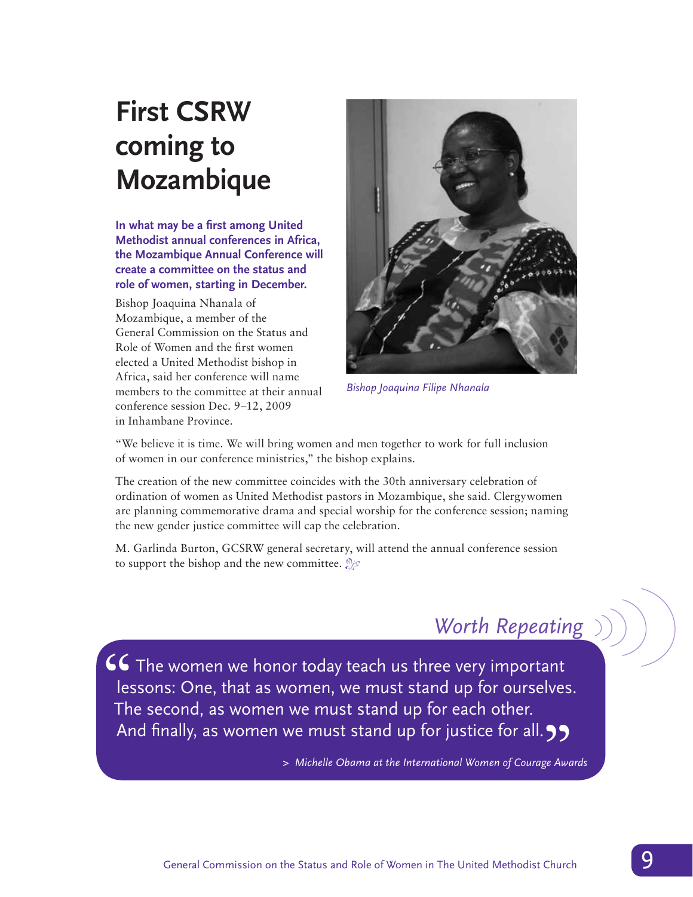## **First CSRW coming to Mozambique**

**In what may be a first among United Methodist annual conferences in Africa, the Mozambique Annual Conference will create a committee on the status and role of women, starting in December.**

Bishop Joaquina Nhanala of Mozambique, a member of the General Commission on the Status and Role of Women and the first women elected a United Methodist bishop in Africa, said her conference will name members to the committee at their annual conference session Dec. 9–12, 2009 in Inhambane Province.



*Bishop Joaquina Filipe Nhanala*

"We believe it is time. We will bring women and men together to work for full inclusion of women in our conference ministries," the bishop explains.

The creation of the new committee coincides with the 30th anniversary celebration of ordination of women as United Methodist pastors in Mozambique, she said. Clergywomen are planning commemorative drama and special worship for the conference session; naming the new gender justice committee will cap the celebration.

M. Garlinda Burton, GCSRW general secretary, will attend the annual conference session to support the bishop and the new committee.  $\mathcal{L}$ 

## *Worth Repeating*

 $\mathsf{\leq} \mathsf{\leq}$  The women we honor today teach us three very important lessons: One, that as women, we must stand up for ourselves. The second, as women we must stand up for each other. And finally, as women we must stand up for justice for all. 99<br>> Michelle Obama at the International Women of Courage Awar<br>-

*> Michelle Obama at the International Women of Courage Awards*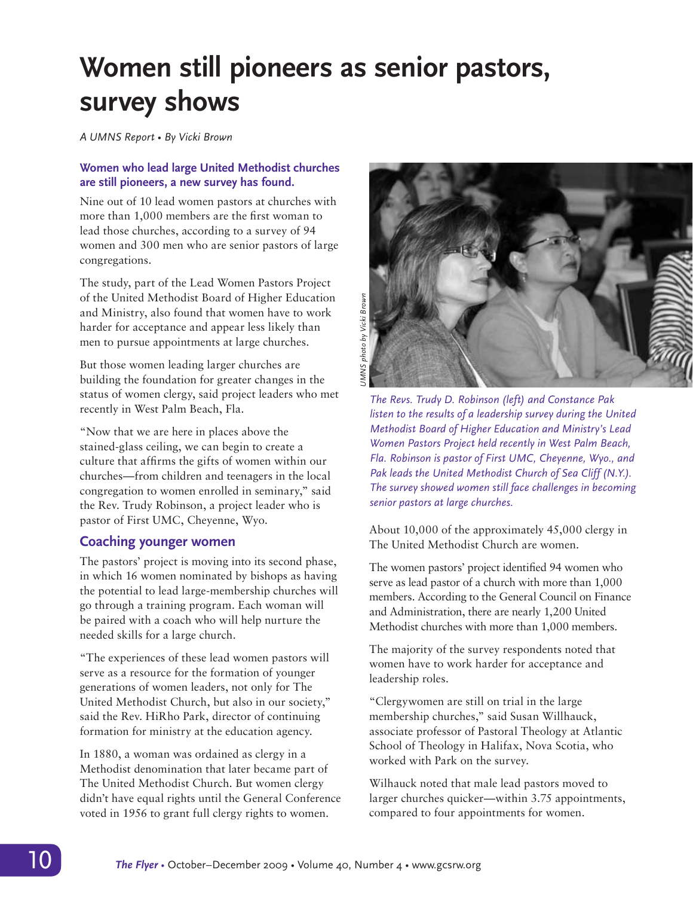## **Women still pioneers as senior pastors, survey shows**

*A UMNS Report • By Vicki Brown*

#### **Women who lead large United Methodist churches are still pioneers, a new survey has found.**

Nine out of 10 lead women pastors at churches with more than 1,000 members are the first woman to lead those churches, according to a survey of 94 women and 300 men who are senior pastors of large congregations.

The study, part of the Lead Women Pastors Project of the United Methodist Board of Higher Education and Ministry, also found that women have to work harder for acceptance and appear less likely than men to pursue appointments at large churches.

But those women leading larger churches are building the foundation for greater changes in the status of women clergy, said project leaders who met recently in West Palm Beach, Fla.

"Now that we are here in places above the stained-glass ceiling, we can begin to create a culture that affirms the gifts of women within our churches—from children and teenagers in the local congregation to women enrolled in seminary," said the Rev. Trudy Robinson, a project leader who is pastor of First UMC, Cheyenne, Wyo.

## **Coaching younger women**

The pastors' project is moving into its second phase, in which 16 women nominated by bishops as having the potential to lead large-membership churches will go through a training program. Each woman will be paired with a coach who will help nurture the needed skills for a large church.

"The experiences of these lead women pastors will serve as a resource for the formation of younger generations of women leaders, not only for The United Methodist Church, but also in our society," said the Rev. HiRho Park, director of continuing formation for ministry at the education agency.

In 1880, a woman was ordained as clergy in a Methodist denomination that later became part of The United Methodist Church. But women clergy didn't have equal rights until the General Conference voted in 1956 to grant full clergy rights to women.



*The Revs. Trudy D. Robinson (left) and Constance Pak listen to the results of a leadership survey during the United Methodist Board of Higher Education and Ministry's Lead Women Pastors Project held recently in West Palm Beach, Fla. Robinson is pastor of First UMC, Cheyenne, Wyo., and*  Pak leads the United Methodist Church of Sea Cliff (N.Y.). *The survey showed women still face challenges in becoming senior pastors at large churches.*

About 10,000 of the approximately 45,000 clergy in The United Methodist Church are women.

The women pastors' project identified 94 women who serve as lead pastor of a church with more than 1,000 members. According to the General Council on Finance and Administration, there are nearly 1,200 United Methodist churches with more than 1,000 members.

The majority of the survey respondents noted that women have to work harder for acceptance and leadership roles.

"Clergywomen are still on trial in the large membership churches," said Susan Willhauck, associate professor of Pastoral Theology at Atlantic School of Theology in Halifax, Nova Scotia, who worked with Park on the survey.

Wilhauck noted that male lead pastors moved to larger churches quicker—within 3.75 appointments, compared to four appointments for women.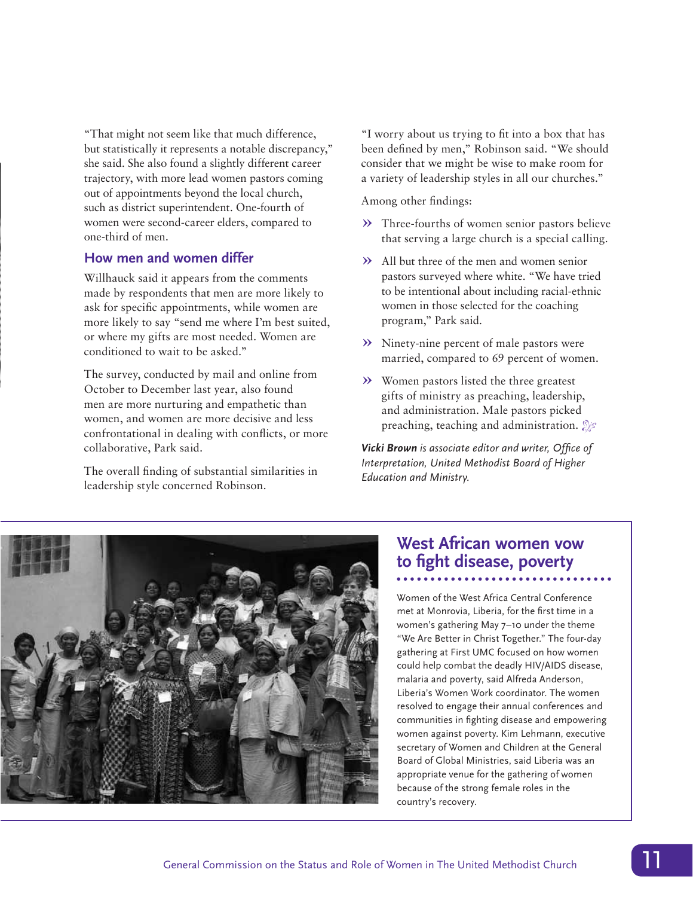"That might not seem like that much difference, but statistically it represents a notable discrepancy," she said. She also found a slightly different career trajectory, with more lead women pastors coming out of appointments beyond the local church, such as district superintendent. One-fourth of women were second-career elders, compared to one-third of men.

## **How men and women differ**

Willhauck said it appears from the comments made by respondents that men are more likely to ask for specific appointments, while women are more likely to say "send me where I'm best suited, or where my gifts are most needed. Women are conditioned to wait to be asked."

The survey, conducted by mail and online from October to December last year, also found men are more nurturing and empathetic than women, and women are more decisive and less confrontational in dealing with conflicts, or more collaborative, Park said.

The overall finding of substantial similarities in leadership style concerned Robinson.

"I worry about us trying to fit into a box that has been defined by men," Robinson said. "We should consider that we might be wise to make room for a variety of leadership styles in all our churches."

Among other findings:

- **»** Three-fourths of women senior pastors believe that serving a large church is a special calling.
- **»** All but three of the men and women senior pastors surveyed where white. "We have tried to be intentional about including racial-ethnic women in those selected for the coaching program," Park said.
- **»** Ninety-nine percent of male pastors were married, compared to 69 percent of women.
- **»** Women pastors listed the three greatest gifts of ministry as preaching, leadership, and administration. Male pastors picked preaching, teaching and administration.  $\mathcal{L}$

*Vicki Brown is associate editor and writer, Office of Interpretation, United Methodist Board of Higher Education and Ministry.*



## **West African women vow to fight disease, poverty**

Women of the West Africa Central Conference met at Monrovia, Liberia, for the first time in a women's gathering May 7–10 under the theme "We Are Better in Christ Together." The four-day gathering at First UMC focused on how women could help combat the deadly HIV/AIDS disease, malaria and poverty, said Alfreda Anderson, Liberia's Women Work coordinator. The women resolved to engage their annual conferences and communities in fighting disease and empowering women against poverty. Kim Lehmann, executive secretary of Women and Children at the General Board of Global Ministries, said Liberia was an appropriate venue for the gathering of women because of the strong female roles in the country's recovery.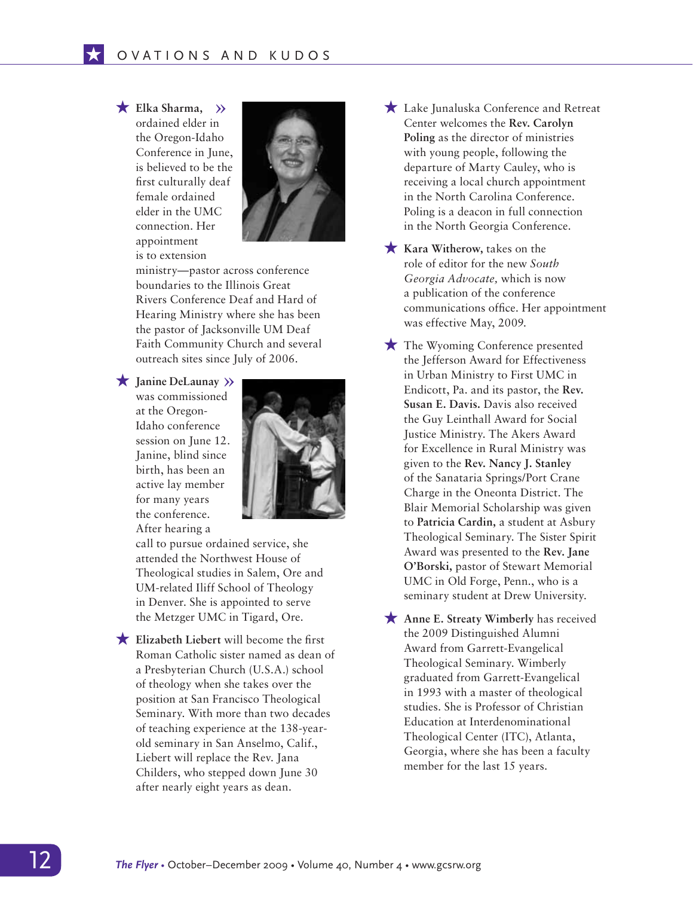#### $\star$  Elka Sharma,  $\rangle$

 $\overline{\star}$ 

ordained elder in the Oregon-Idaho Conference in June, is believed to be the first culturally deaf female ordained elder in the UMC connection. Her appointment is to extension



ministry—pastor across conference boundaries to the Illinois Great Rivers Conference Deaf and Hard of Hearing Ministry where she has been the pastor of Jacksonville UM Deaf Faith Community Church and several outreach sites since July of 2006.

 $\star$  Janine DeLaunay >> was commissioned at the Oregon-Idaho conference session on June 12. Janine, blind since birth, has been an active lay member for many years the conference. After hearing a



call to pursue ordained service, she attended the Northwest House of Theological studies in Salem, Ore and UM-related Iliff School of Theology in Denver. She is appointed to serve the Metzger UMC in Tigard, Ore.

**Elizabeth Liebert** will become the first Roman Catholic sister named as dean of a Presbyterian Church (U.S.A.) school of theology when she takes over the position at San Francisco Theological Seminary. With more than two decades of teaching experience at the 138-yearold seminary in San Anselmo, Calif., Liebert will replace the Rev. Jana Childers, who stepped down June 30 after nearly eight years as dean.

- H Lake Junaluska Conference and Retreat Center welcomes the **Rev. Carolyn Poling** as the director of ministries with young people, following the departure of Marty Cauley, who is receiving a local church appointment in the North Carolina Conference. Poling is a deacon in full connection in the North Georgia Conference.
- **Kara Witherow, takes on the** role of editor for the new *South Georgia Advocate,* which is now a publication of the conference communications office. Her appointment was effective May, 2009.
- $\bigstar$  The Wyoming Conference presented the Jefferson Award for Effectiveness in Urban Ministry to First UMC in Endicott, Pa. and its pastor, the **Rev. Susan E. Davis.** Davis also received the Guy Leinthall Award for Social Justice Ministry. The Akers Award for Excellence in Rural Ministry was given to the **Rev. Nancy J. Stanley**  of the Sanataria Springs/Port Crane Charge in the Oneonta District. The Blair Memorial Scholarship was given to **Patricia Cardin,** a student at Asbury Theological Seminary. The Sister Spirit Award was presented to the **Rev. Jane O'Borski,** pastor of Stewart Memorial UMC in Old Forge, Penn., who is a seminary student at Drew University.

**Anne E. Streaty Wimberly** has received the 2009 Distinguished Alumni Award from Garrett-Evangelical Theological Seminary. Wimberly graduated from Garrett-Evangelical in 1993 with a master of theological studies. She is Professor of Christian Education at Interdenominational Theological Center (ITC), Atlanta, Georgia, where she has been a faculty member for the last 15 years.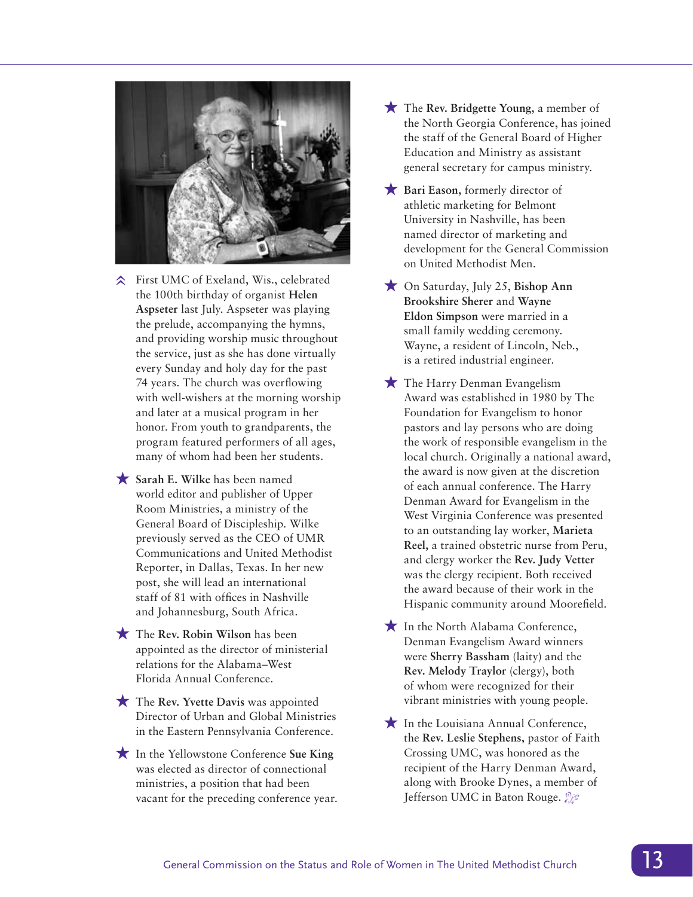

- **☆** First UMC of Exeland, Wis., celebrated the 100th birthday of organist **Helen Aspseter** last July. Aspseter was playing the prelude, accompanying the hymns, and providing worship music throughout the service, just as she has done virtually every Sunday and holy day for the past 74 years. The church was overflowing with well-wishers at the morning worship and later at a musical program in her honor. From youth to grandparents, the program featured performers of all ages, many of whom had been her students.
- **K** Sarah E. Wilke has been named world editor and publisher of Upper Room Ministries, a ministry of the General Board of Discipleship. Wilke previously served as the CEO of UMR Communications and United Methodist Reporter, in Dallas, Texas. In her new post, she will lead an international staff of 81 with offices in Nashville and Johannesburg, South Africa.
- $\star$  The Rev. Robin Wilson has been appointed as the director of ministerial relations for the Alabama–West Florida Annual Conference.
- **★** The Rev. Yvette Davis was appointed Director of Urban and Global Ministries in the Eastern Pennsylvania Conference.
- **★** In the Yellowstone Conference Sue King was elected as director of connectional ministries, a position that had been vacant for the preceding conference year.
- ★ The Rev. Bridgette Young, a member of the North Georgia Conference, has joined the staff of the General Board of Higher Education and Ministry as assistant general secretary for campus ministry.
- **Here** Bari Eason, formerly director of athletic marketing for Belmont University in Nashville, has been named director of marketing and development for the General Commission on United Methodist Men.
- H On Saturday, July 25, **Bishop Ann Brookshire Sherer** and **Wayne Eldon Simpson** were married in a small family wedding ceremony. Wayne, a resident of Lincoln, Neb., is a retired industrial engineer.
- $\bigstar$  The Harry Denman Evangelism Award was established in 1980 by The Foundation for Evangelism to honor pastors and lay persons who are doing the work of responsible evangelism in the local church. Originally a national award, the award is now given at the discretion of each annual conference. The Harry Denman Award for Evangelism in the West Virginia Conference was presented to an outstanding lay worker, **Marieta Reel,** a trained obstetric nurse from Peru, and clergy worker the **Rev. Judy Vetter**  was the clergy recipient. Both received the award because of their work in the Hispanic community around Moorefield.
- $\bigstar$  In the North Alabama Conference, Denman Evangelism Award winners were **Sherry Bassham** (laity) and the **Rev. Melody Traylor** (clergy), both of whom were recognized for their vibrant ministries with young people.
- $\star$  In the Louisiana Annual Conference, the **Rev. Leslie Stephens,** pastor of Faith Crossing UMC, was honored as the recipient of the Harry Denman Award, along with Brooke Dynes, a member of Jefferson UMC in Baton Rouge.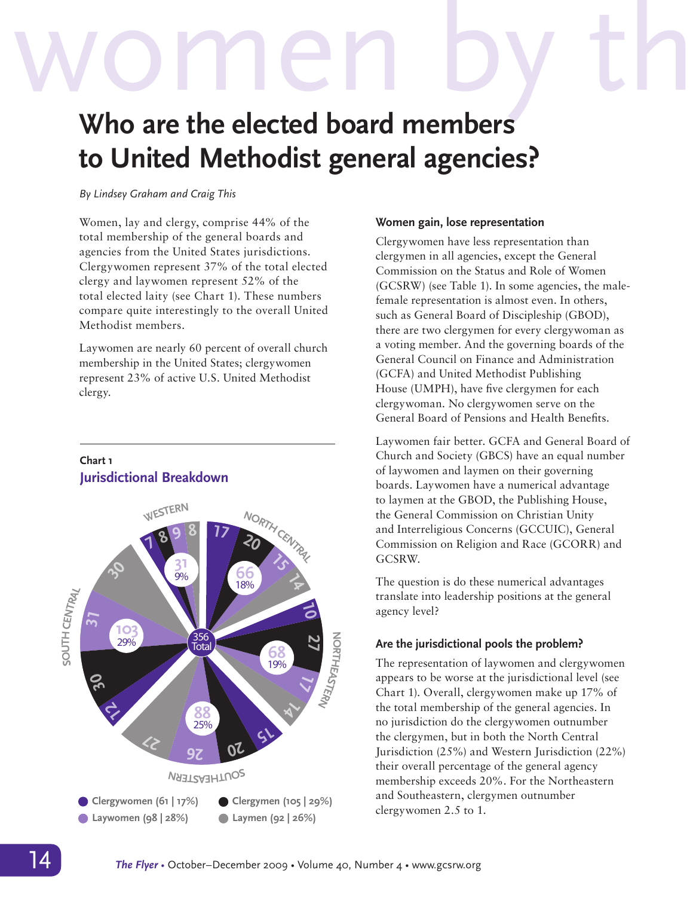# Women by the whome the elected board members **who are the elected board members**

# **to United Methodist general agencies?**

#### *By Lindsey Graham and Craig This*

Women, lay and clergy, comprise 44% of the total membership of the general boards and agencies from the United States jurisdictions. Clergywomen represent 37% of the total elected clergy and laywomen represent 52% of the total elected laity (see Chart 1). These numbers compare quite interestingly to the overall United Methodist members.

Laywomen are nearly 60 percent of overall church membership in the United States; clergywomen represent 23% of active U.S. United Methodist clergy.

## **Chart 1 Jurisdictional Breakdown**



#### **Women gain, lose representation**

Clergywomen have less representation than clergymen in all agencies, except the General Commission on the Status and Role of Women (GCSRW) (see Table 1). In some agencies, the malefemale representation is almost even. In others, such as General Board of Discipleship (GBOD), there are two clergymen for every clergywoman as a voting member. And the governing boards of the General Council on Finance and Administration (GCFA) and United Methodist Publishing House (UMPH), have five clergymen for each clergywoman. No clergywomen serve on the General Board of Pensions and Health Benefits.

Laywomen fair better. GCFA and General Board of Church and Society (GBCS) have an equal number of laywomen and laymen on their governing boards. Laywomen have a numerical advantage to laymen at the GBOD, the Publishing House, the General Commission on Christian Unity and Interreligious Concerns (GCCUIC), General Commission on Religion and Race (GCORR) and GCSRW.

The question is do these numerical advantages translate into leadership positions at the general agency level?

## **Are the jurisdictional pools the problem?**

The representation of laywomen and clergywomen appears to be worse at the jurisdictional level (see Chart 1). Overall, clergywomen make up 17% of the total membership of the general agencies. In no jurisdiction do the clergywomen outnumber the clergymen, but in both the North Central Jurisdiction (25%) and Western Jurisdiction (22%) their overall percentage of the general agency membership exceeds 20%. For the Northeastern and Southeastern, clergymen outnumber clergywomen 2.5 to 1.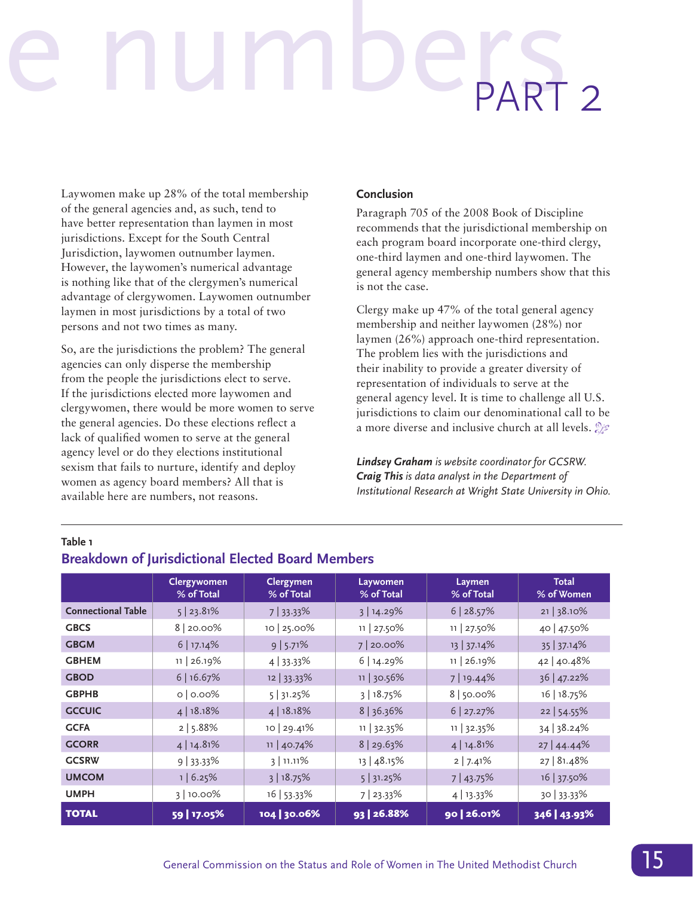# e numbers PART 2

Laywomen make up 28% of the total membership of the general agencies and, as such, tend to have better representation than laymen in most jurisdictions. Except for the South Central Jurisdiction, laywomen outnumber laymen. However, the laywomen's numerical advantage is nothing like that of the clergymen's numerical advantage of clergywomen. Laywomen outnumber laymen in most jurisdictions by a total of two persons and not two times as many.

So, are the jurisdictions the problem? The general agencies can only disperse the membership from the people the jurisdictions elect to serve. If the jurisdictions elected more laywomen and clergywomen, there would be more women to serve the general agencies. Do these elections reflect a lack of qualified women to serve at the general agency level or do they elections institutional sexism that fails to nurture, identify and deploy women as agency board members? All that is available here are numbers, not reasons.

#### **Conclusion**

Paragraph 705 of the 2008 Book of Discipline recommends that the jurisdictional membership on each program board incorporate one-third clergy, one-third laymen and one-third laywomen. The general agency membership numbers show that this is not the case.

Clergy make up 47% of the total general agency membership and neither laywomen (28%) nor laymen (26%) approach one-third representation. The problem lies with the jurisdictions and their inability to provide a greater diversity of representation of individuals to serve at the general agency level. It is time to challenge all U.S. jurisdictions to claim our denominational call to be a more diverse and inclusive church at all levels.  $\mathcal{Z}$ 

*Lindsey Graham is website coordinator for GCSRW. Craig This is data analyst in the Department of Institutional Research at Wright State University in Ohio.*

#### **Table 1**

|                           | <b>Clergywomen</b><br>% of Total | <b>Clergymen</b><br>% of Total | Laywomen<br>% of Total | Laymen<br>% of Total | <b>Total</b><br>% of Women |
|---------------------------|----------------------------------|--------------------------------|------------------------|----------------------|----------------------------|
| <b>Connectional Table</b> | $5$   23.81%                     | 7 33.33%                       | 3 14.29%               | 6 28.57%             | 21 38.10%                  |
| <b>GBCS</b>               | $8 20.00\%$                      | 10   25.00%                    | $11   27.50\%$         | $11   27.50\%$       | 40 47.50%                  |
| <b>GBGM</b>               | $6$   17.14%                     | 9 5.71%                        | 7 20.00%               | 13 37.14%            | 35 37.14%                  |
| <b>GBHEM</b>              | 11   26.19%                      | $4 33.33\%$                    | 6 14.29%               | 11   26.19%          | 42 40.48%                  |
| <b>GBOD</b>               | 6 16.67%                         | 12 33.33%                      | 11 30.56%              | 7   19.44%           | 36 47.22%                  |
| <b>GBPHB</b>              | 0   0.00%                        | 5 31.25%                       | 3 18.75%               | 8   50.00%           | 16   18.75%                |
| <b>GCCUIC</b>             | 4 18.18%                         | 4 18.18%                       | 8 36.36%               | 6 27.27%             | 22   54.55%                |
| <b>GCFA</b>               | 2   5.88%                        | 10   29.41%                    | 11   32.35%            | 11   32.35%          | 34 38.24%                  |
| <b>GCORR</b>              | 4 14.81%                         | 11   40.74%                    | 8 29.63%               | 4 14.81%             | 27 44.44%                  |
| <b>GCSRW</b>              | $9 \mid 33.33\%$                 | $3$ 11.11%                     | $13 \mid 48.15\%$      | 2 7.41%              | 27   81.48%                |
| <b>UMCOM</b>              | 1   6.25%                        | 3 18.75%                       | 5 31.25%               | 7 43.75%             | 16 37.50%                  |
| <b>UMPH</b>               | 3 10.00%                         | 16   53.33%                    | 7 23.33%               | 4   13.33%           | 30 33.33%                  |
| <b>TOTAL</b>              | 59   17.05%                      | 104 30.06%                     | 93 26.88%              | 90 26.01%            | 346   43.93%               |

## **Breakdown of Jurisdictional Elected Board Members**